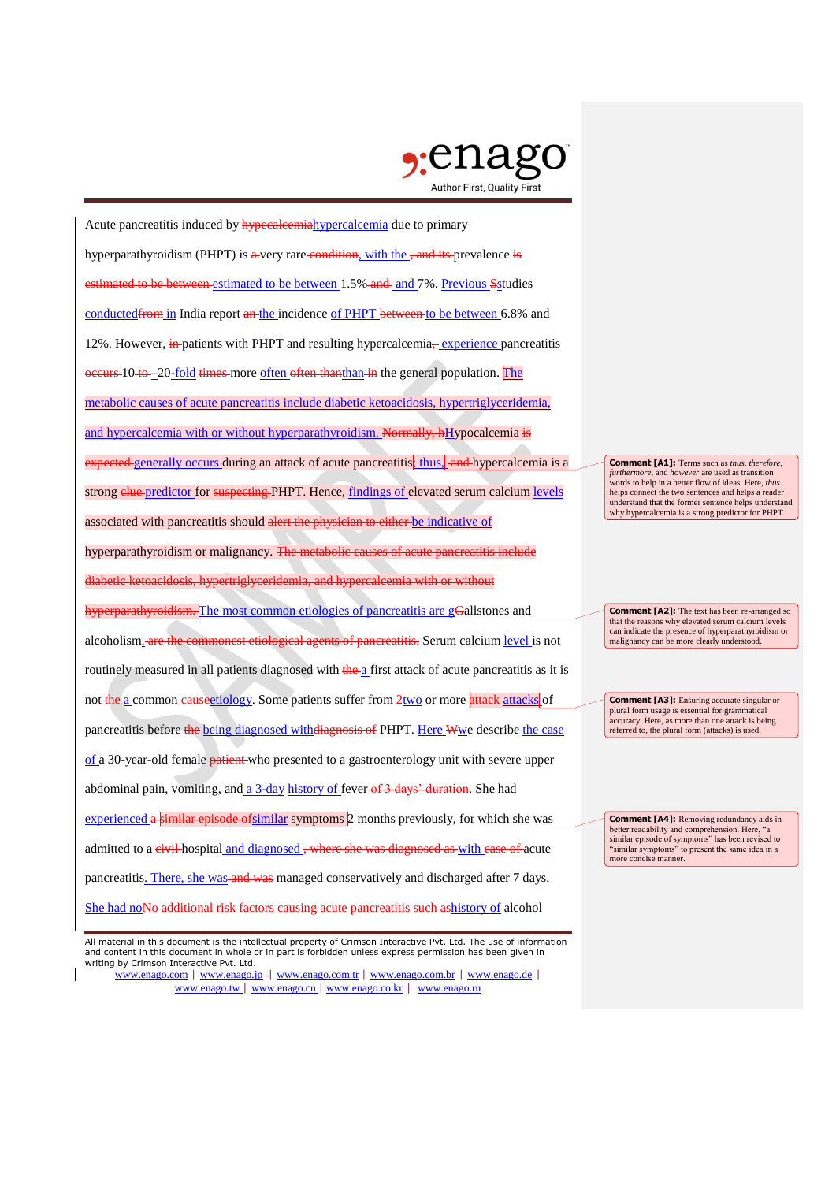

Acute pancreatitis induced by **hypecalcemia** hypercalcemia due to primary hyperparathyroidism (PHPT) is a very rare condition, with the , and its prevalence is stimated to be between estimated to be between 1.5% and and 7%. Previous S studies conducted from in India report an the incidence of PHPT between to be between 6.8% and 12%. However, in patients with PHPT and resulting hypercalcemia<sub></sub>, experience pancreatitis occurs 10 to -20-fold times more often often thanthan in the general population. The metabolic causes of acute pancreatitis include diabetic ketoacidosis, hypertriglyceridemia, and hypercalcemia with or without hyperparathyroidism. Normally, hHypocalcemia is expected generally occurs during an attack of acute pancreatitis; thus, and hypercalcemia is a strong clue predictor for suspecting PHPT. Hence, findings of elevated serum calcium levels associated with pancreatitis should alert the physician to either be indicative of hyperparathyroidism or malignancy. The metabolic causes of acute pancreatitis include diabetic ketoacidosis, hypertriglyceridemia, and hypercalcemia with or without  $h$ <sub>b</sub>  $\alpha$  arathyroidism. The most common etiologies of pancreatitis are gGallstones and alcoholism. are the commonest etiological agents of pancreatitis. Serum calcium level is not routinely measured in all patients diagnosed with the a first attack of acute pancreatitis as it is not the a common eauseetiology. Some patients suffer from 2two or more attacks attacks of pancreatitis before the being diagnosed with diagnosis of PHPT. Here Wwe describe the case of a 30-year-old female patient who presented to a gastroenterology unit with severe upper abdominal pain, vomiting, and a 3-day history of fever of 3 days' duration. She had experienced a similar episode of similar symptoms 2 months previously, for which she was admitted to a civil hospital and diagnosed, where she was diagnosed as with case of acute pancreatitis. There, she was and was managed conservatively and discharged after 7 days. She had noNo additional risk factors causing acute pancreatitis such ashistory of alcohol

www.enago.com | www.enago.jp - | www.enago.com.tr | www.enago.com.br | www.enago.de | www.enago.tw | www.enago.cn | www.enago.co.kr | www.enago.ru

**Comment [A1]:** Terms such as *thus*, *therefore*, *furthermore*, and *however* are used as transition words to help in a better flow of ideas. Here, *thus* helps connect the two sentences and helps a reader understand that the former sentence helps understand why hypercalcemia is a strong predictor for PHPT.

**Comment [A2]:** The text has been re-arranged so that the reasons why elevated serum calcium levels can indicate the presence of hyperparathyroidism or malignancy can be more clearly understood.

**Comment [A3]:** Ensuring accurate singular or plural form usage is essential for grammatical accuracy. Here, as more than one attack is being referred to, the plural form (attacks) is used.

**Comment [A4]:** Removing redundancy aids in better readability and comprehension. Here, "a similar episode of symptoms" has been revised to "similar symptoms" to present the same idea in a more concise manner.

All material in this document is the intellectual property of Crimson Interactive Pvt. Ltd. The use of information and content in this document in whole or in part is forbidden unless express permission has been given in writing by Crimson Interactive Pvt. Ltd.